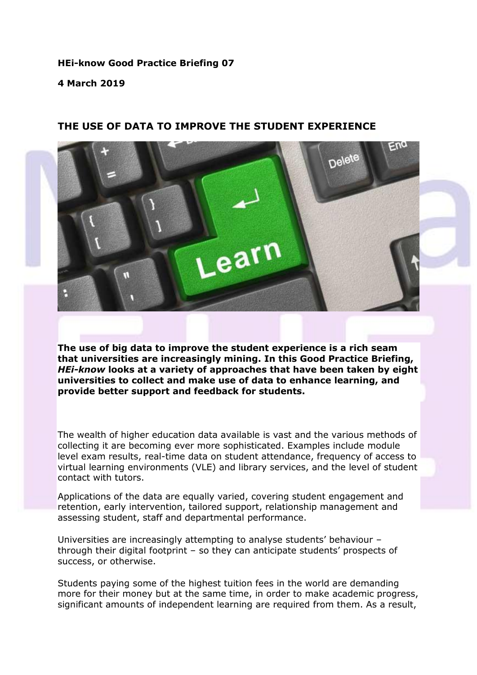### **HEi-know Good Practice Briefing 07**

#### **4 March 2019**



### **THE USE OF DATA TO IMPROVE THE STUDENT EXPERIENCE**

**The use of big data to improve the student experience is a rich seam that universities are increasingly mining. In this Good Practice Briefing,**  *HEi-know* **looks at a variety of approaches that have been taken by eight universities to collect and make use of data to enhance learning, and provide better support and feedback for students.**

The wealth of higher education data available is vast and the various methods of collecting it are becoming ever more sophisticated. Examples include module level exam results, real-time data on student attendance, frequency of access to virtual learning environments (VLE) and library services, and the level of student contact with tutors.

Applications of the data are equally varied, covering student engagement and retention, early intervention, tailored support, relationship management and assessing student, staff and departmental performance.

Universities are increasingly attempting to analyse students' behaviour – through their digital footprint – so they can anticipate students' prospects of success, or otherwise.

Students paying some of the highest tuition fees in the world are demanding more for their money but at the same time, in order to make academic progress, significant amounts of independent learning are required from them. As a result,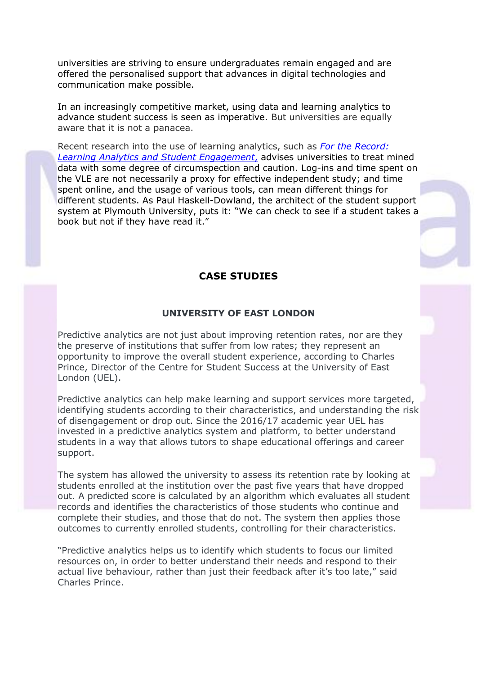universities are striving to ensure undergraduates remain engaged and are offered the personalised support that advances in digital technologies and communication make possible.

In an increasingly competitive market, using data and learning analytics to advance student success is seen as imperative. But universities are equally aware that it is not a panacea.

Recent research into the use of learning analytics, such as *[For the Record:](https://www.enhancementthemes.ac.uk/docs/ethemes/evidence-for-enhancement/for-the-record-learning-analytics-and-student-engagement-(paper).pdf)  [Learning Analytics and Student Engagement](https://www.enhancementthemes.ac.uk/docs/ethemes/evidence-for-enhancement/for-the-record-learning-analytics-and-student-engagement-(paper).pdf)*, advises universities to treat mined data with some degree of circumspection and caution. Log-ins and time spent on the VLE are not necessarily a proxy for effective independent study; and time spent online, and the usage of various tools, can mean different things for different students. As Paul Haskell-Dowland, the architect of the student support system at Plymouth University, puts it: "We can check to see if a student takes a book but not if they have read it."

# **CASE STUDIES**

### **UNIVERSITY OF EAST LONDON**

Predictive analytics are not just about improving retention rates, nor are they the preserve of institutions that suffer from low rates; they represent an opportunity to improve the overall student experience, according to Charles Prince, Director of the Centre for Student Success at the University of East London (UEL).

Predictive analytics can help make learning and support services more targeted, identifying students according to their characteristics, and understanding the risk of disengagement or drop out. Since the 2016/17 academic year UEL has invested in a predictive analytics system and platform, to better understand students in a way that allows tutors to shape educational offerings and career support.

The system has allowed the university to assess its retention rate by looking at students enrolled at the institution over the past five years that have dropped out. A predicted score is calculated by an algorithm which evaluates all student records and identifies the characteristics of those students who continue and complete their studies, and those that do not. The system then applies those outcomes to currently enrolled students, controlling for their characteristics.

"Predictive analytics helps us to identify which students to focus our limited resources on, in order to better understand their needs and respond to their actual live behaviour, rather than just their feedback after it's too late," said Charles Prince.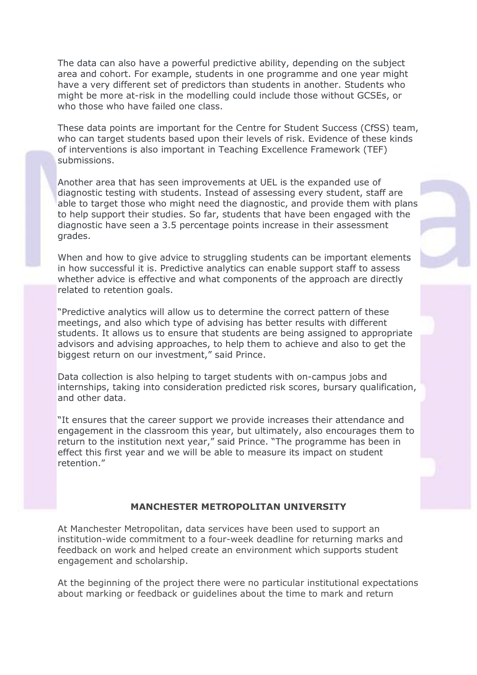The data can also have a powerful predictive ability, depending on the subject area and cohort. For example, students in one programme and one year might have a very different set of predictors than students in another. Students who might be more at-risk in the modelling could include those without GCSEs, or who those who have failed one class.

These data points are important for the Centre for Student Success (CfSS) team, who can target students based upon their levels of risk. Evidence of these kinds of interventions is also important in Teaching Excellence Framework (TEF) submissions.

Another area that has seen improvements at UEL is the expanded use of diagnostic testing with students. Instead of assessing every student, staff are able to target those who might need the diagnostic, and provide them with plans to help support their studies. So far, students that have been engaged with the diagnostic have seen a 3.5 percentage points increase in their assessment grades.

When and how to give advice to struggling students can be important elements in how successful it is. Predictive analytics can enable support staff to assess whether advice is effective and what components of the approach are directly related to retention goals.

"Predictive analytics will allow us to determine the correct pattern of these meetings, and also which type of advising has better results with different students. It allows us to ensure that students are being assigned to appropriate advisors and advising approaches, to help them to achieve and also to get the biggest return on our investment," said Prince.

Data collection is also helping to target students with on-campus jobs and internships, taking into consideration predicted risk scores, bursary qualification, and other data.

"It ensures that the career support we provide increases their attendance and engagement in the classroom this year, but ultimately, also encourages them to return to the institution next year," said Prince. "The programme has been in effect this first year and we will be able to measure its impact on student retention."

### **MANCHESTER METROPOLITAN UNIVERSITY**

At Manchester Metropolitan, data services have been used to support an institution-wide commitment to a four-week deadline for returning marks and feedback on work and helped create an environment which supports student engagement and scholarship.

At the beginning of the project there were no particular institutional expectations about marking or feedback or guidelines about the time to mark and return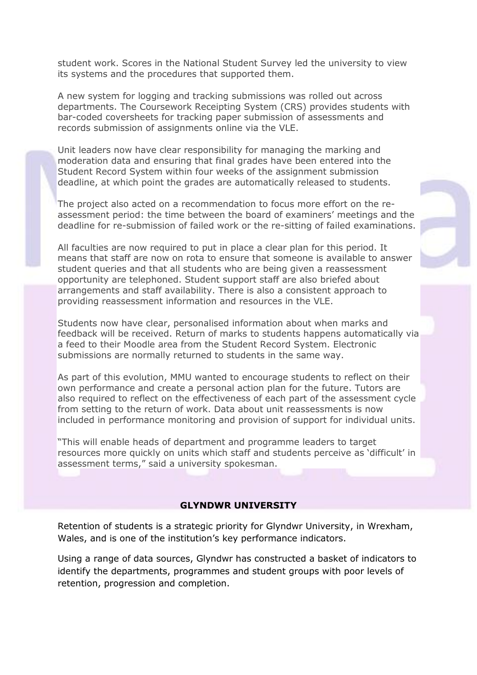student work. Scores in the National Student Survey led the university to view its systems and the procedures that supported them.

A new system for logging and tracking submissions was rolled out across departments. The Coursework Receipting System (CRS) provides students with bar-coded coversheets for tracking paper submission of assessments and records submission of assignments online via the VLE.

Unit leaders now have clear responsibility for managing the marking and moderation data and ensuring that final grades have been entered into the Student Record System within four weeks of the assignment submission deadline, at which point the grades are automatically released to students.

The project also acted on a recommendation to focus more effort on the reassessment period: the time between the board of examiners' meetings and the deadline for re-submission of failed work or the re-sitting of failed examinations.

All faculties are now required to put in place a clear plan for this period. It means that staff are now on rota to ensure that someone is available to answer student queries and that all students who are being given a reassessment opportunity are telephoned. Student support staff are also briefed about arrangements and staff availability. There is also a consistent approach to providing reassessment information and resources in the VLE.

Students now have clear, personalised information about when marks and feedback will be received. Return of marks to students happens automatically via a feed to their Moodle area from the Student Record System. Electronic submissions are normally returned to students in the same way.

As part of this evolution, MMU wanted to encourage students to reflect on their own performance and create a personal action plan for the future. Tutors are also required to reflect on the effectiveness of each part of the assessment cycle from setting to the return of work. Data about unit reassessments is now included in performance monitoring and provision of support for individual units.

"This will enable heads of department and programme leaders to target resources more quickly on units which staff and students perceive as 'difficult' in assessment terms," said a university spokesman.

## **GLYNDWR UNIVERSITY**

Retention of students is a strategic priority for Glyndwr University, in Wrexham, Wales, and is one of the institution's key performance indicators.

Using a range of data sources, Glyndwr has constructed a basket of indicators to identify the departments, programmes and student groups with poor levels of retention, progression and completion.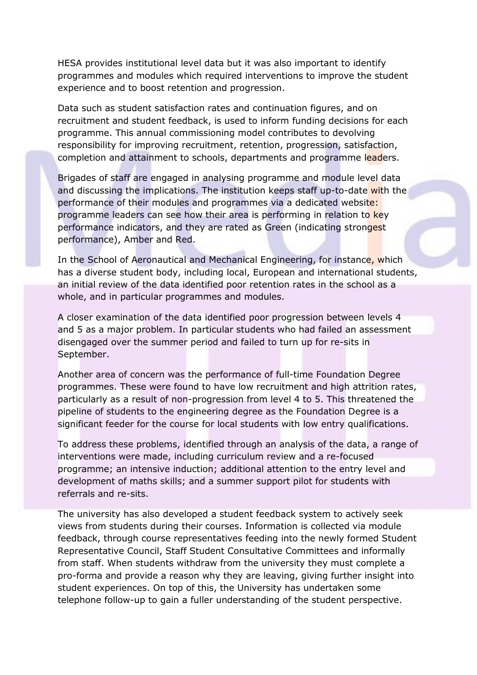HESA provides institutional level data but it was also important to identify programmes and modules which required interventions to improve the student experience and to boost retention and progression.

Data such as student satisfaction rates and continuation figures, and on recruitment and student feedback, is used to inform funding decisions for each programme. This annual commissioning model contributes to devolving responsibility for improving recruitment, retention, progression, satisfaction, completion and attainment to schools, departments and programme leaders.

Brigades of staff are engaged in analysing programme and module level data and discussing the implications. The institution keeps staff up-to-date with the performance of their modules and programmes via a dedicated website: programme leaders can see how their area is performing in relation to key performance indicators, and they are rated as Green (indicating strongest performance), Amber and Red.

In the School of Aeronautical and Mechanical Engineering, for instance, which has a diverse student body, including local, European and international students, an initial review of the data identified poor retention rates in the school as a whole, and in particular programmes and modules.

A closer examination of the data identified poor progression between levels 4 and 5 as a major problem. In particular students who had failed an assessment disengaged over the summer period and failed to turn up for re-sits in September.

Another area of concern was the performance of full-time Foundation Degree programmes. These were found to have low recruitment and high attrition rates, particularly as a result of non-progression from level 4 to 5. This threatened the pipeline of students to the engineering degree as the Foundation Degree is a significant feeder for the course for local students with low entry qualifications.

To address these problems, identified through an analysis of the data, a range of interventions were made, including curriculum review and a re-focused programme; an intensive induction; additional attention to the entry level and development of maths skills; and a summer support pilot for students with referrals and re-sits.

The university has also developed a student feedback system to actively seek views from students during their courses. Information is collected via module feedback, through course representatives feeding into the newly formed Student Representative Council, Staff Student Consultative Committees and informally from staff. When students withdraw from the university they must complete a pro-forma and provide a reason why they are leaving, giving further insight into student experiences. On top of this, the University has undertaken some telephone follow-up to gain a fuller understanding of the student perspective.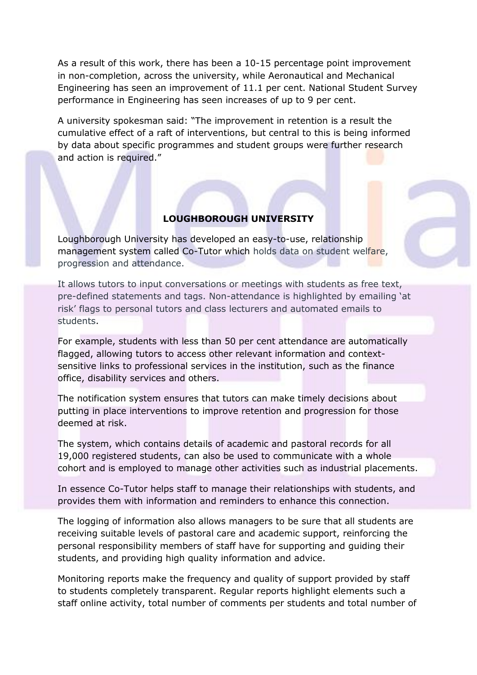As a result of this work, there has been a 10-15 percentage point improvement in non-completion, across the university, while Aeronautical and Mechanical Engineering has seen an improvement of 11.1 per cent. National Student Survey performance in Engineering has seen increases of up to 9 per cent.

A university spokesman said: "The improvement in retention is a result the cumulative effect of a raft of interventions, but central to this is being informed by data about specific programmes and student groups were further research and action is required."

### **LOUGHBOROUGH UNIVERSITY**

Loughborough University has developed an easy-to-use, relationship management system called Co-Tutor which holds data on student welfare, progression and attendance.

It allows tutors to input conversations or meetings with students as free text, pre-defined statements and tags. Non-attendance is highlighted by emailing 'at risk' flags to personal tutors and class lecturers and automated emails to students.

For example, students with less than 50 per cent attendance are automatically flagged, allowing tutors to access other relevant information and contextsensitive links to professional services in the institution, such as the finance office, disability services and others.

The notification system ensures that tutors can make timely decisions about putting in place interventions to improve retention and progression for those deemed at risk.

The system, which contains details of academic and pastoral records for all 19,000 registered students, can also be used to communicate with a whole cohort and is employed to manage other activities such as industrial placements.

In essence Co-Tutor helps staff to manage their relationships with students, and provides them with information and reminders to enhance this connection.

The logging of information also allows managers to be sure that all students are receiving suitable levels of pastoral care and academic support, reinforcing the personal responsibility members of staff have for supporting and guiding their students, and providing high quality information and advice.

Monitoring reports make the frequency and quality of support provided by staff to students completely transparent. Regular reports highlight elements such a staff online activity, total number of comments per students and total number of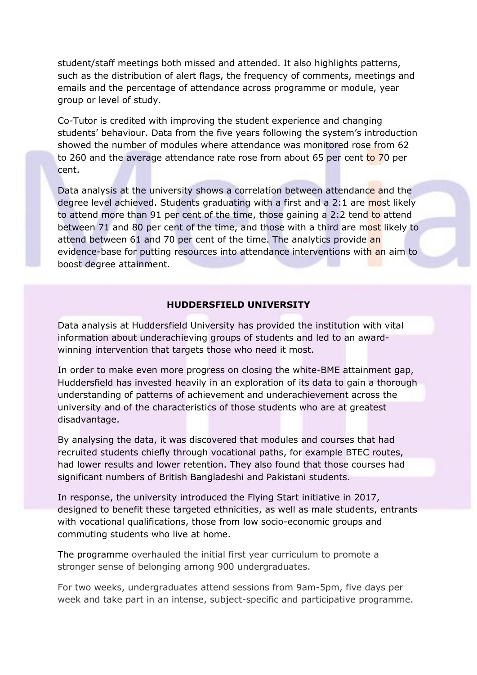student/staff meetings both missed and attended. It also highlights patterns, such as the distribution of alert flags, the frequency of comments, meetings and emails and the percentage of attendance across programme or module, year group or level of study.

Co-Tutor is credited with improving the student experience and changing students' behaviour. Data from the five years following the system's introduction showed the number of modules where attendance was monitored rose from 62 to 260 and the average attendance rate rose from about 65 per cent to 70 per cent.

Data analysis at the university shows a correlation between attendance and the degree level achieved. Students graduating with a first and a 2:1 are most likely to attend more than 91 per cent of the time, those gaining a 2:2 tend to attend between 71 and 80 per cent of the time, and those with a third are most likely to attend between 61 and 70 per cent of the time. The analytics provide an evidence-base for putting resources into attendance interventions with an aim to boost degree attainment.

## **HUDDERSFIELD UNIVERSITY**

Data analysis at Huddersfield University has provided the institution with vital information about underachieving groups of students and led to an awardwinning intervention that targets those who need it most.

In order to make even more progress on closing the white-BME attainment gap, Huddersfield has invested heavily in an exploration of its data to gain a thorough understanding of patterns of achievement and underachievement across the university and of the characteristics of those students who are at greatest disadvantage.

By analysing the data, it was discovered that modules and courses that had recruited students chiefly through vocational paths, for example BTEC routes, had lower results and lower retention. They also found that those courses had significant numbers of British Bangladeshi and Pakistani students.

In response, the university introduced the Flying Start initiative in 2017, designed to benefit these targeted ethnicities, as well as male students, entrants with vocational qualifications, those from low socio-economic groups and commuting students who live at home.

The programme overhauled the initial first year curriculum to promote a stronger sense of belonging among 900 undergraduates.

For two weeks, undergraduates attend sessions from 9am-5pm, five days per week and take part in an intense, subject-specific and participative programme.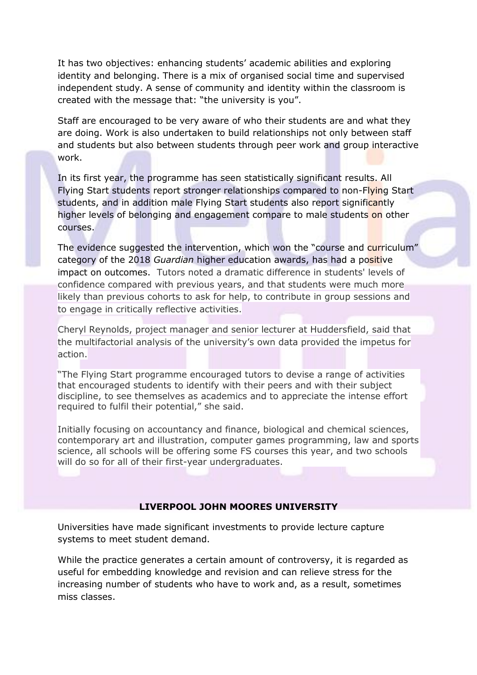It has two objectives: enhancing students' academic abilities and exploring identity and belonging. There is a mix of organised social time and supervised independent study. A sense of community and identity within the classroom is created with the message that: "the university is you".

Staff are encouraged to be very aware of who their students are and what they are doing. Work is also undertaken to build relationships not only between staff and students but also between students through peer work and group interactive work.

In its first year, the programme has seen statistically significant results. All Flying Start students report stronger relationships compared to non-Flying Start students, and in addition male Flying Start students also report significantly higher levels of belonging and engagement compare to male students on other courses.

The evidence suggested the intervention, which won the "course and curriculum" category of the 2018 *Guardian* higher education awards, has had a positive impact on outcomes. Tutors noted a dramatic difference in students' levels of confidence compared with previous years, and that students were much more likely than previous cohorts to ask for help, to contribute in group sessions and to engage in critically reflective activities.

Cheryl Reynolds, project manager and senior lecturer at Huddersfield, said that the multifactorial analysis of the university's own data provided the impetus for action.

"The Flying Start programme encouraged tutors to devise a range of activities that encouraged students to identify with their peers and with their subject discipline, to see themselves as academics and to appreciate the intense effort required to fulfil their potential," she said.

Initially focusing on accountancy and finance, biological and chemical sciences, contemporary art and illustration, computer games programming, law and sports science, all schools will be offering some FS courses this year, and two schools will do so for all of their first-year undergraduates.

## **LIVERPOOL JOHN MOORES UNIVERSITY**

Universities have made significant investments to provide lecture capture systems to meet student demand.

While the practice generates a certain amount of controversy, it is regarded as useful for embedding knowledge and revision and can relieve stress for the increasing number of students who have to work and, as a result, sometimes miss classes.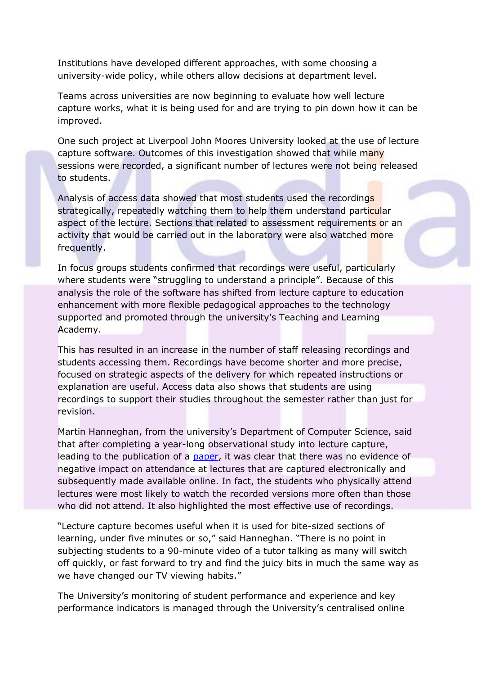Institutions have developed different approaches, with some choosing a university-wide policy, while others allow decisions at department level.

Teams across universities are now beginning to evaluate how well lecture capture works, what it is being used for and are trying to pin down how it can be improved.

One such project at Liverpool John Moores University looked at the use of lecture capture software. Outcomes of this investigation showed that while many sessions were recorded, a significant number of lectures were not being released to students.

Analysis of access data showed that most students used the recordings strategically, repeatedly watching them to help them understand particular aspect of the lecture. Sections that related to assessment requirements or an activity that would be carried out in the laboratory were also watched more frequently.

In focus groups students confirmed that recordings were useful, particularly where students were "struggling to understand a principle". Because of this analysis the role of the software has shifted from lecture capture to education enhancement with more flexible pedagogical approaches to the technology supported and promoted through the university's Teaching and Learning Academy.

This has resulted in an increase in the number of staff releasing recordings and students accessing them. Recordings have become shorter and more precise, focused on strategic aspects of the delivery for which repeated instructions or explanation are useful. Access data also shows that students are using recordings to support their studies throughout the semester rather than just for revision.

Martin Hanneghan, from the university's Department of Computer Science, said that after completing a year-long observational study into lecture capture, leading to the publication of a [paper,](http://openjournals.ljmu.ac.uk/index.php/iip/article/view/47/48) it was clear that there was no evidence of negative impact on attendance at lectures that are captured electronically and subsequently made available online. In fact, the students who physically attend lectures were most likely to watch the recorded versions more often than those who did not attend. It also highlighted the most effective use of recordings.

"Lecture capture becomes useful when it is used for bite-sized sections of learning, under five minutes or so," said Hanneghan. "There is no point in subjecting students to a 90-minute video of a tutor talking as many will switch off quickly, or fast forward to try and find the juicy bits in much the same way as we have changed our TV viewing habits."

The University's monitoring of student performance and experience and key performance indicators is managed through the University's centralised online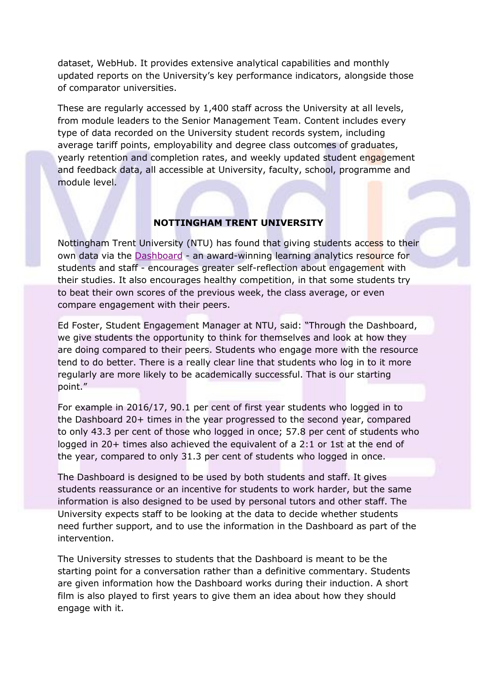dataset, WebHub. It provides extensive analytical capabilities and monthly updated reports on the University's key performance indicators, alongside those of comparator universities.

These are regularly accessed by 1,400 staff across the University at all levels, from module leaders to the Senior Management Team. Content includes every type of data recorded on the University student records system, including average tariff points, employability and degree class outcomes of graduates, yearly retention and completion rates, and weekly updated student engagement and feedback data, all accessible at University, faculty, school, programme and module level.

### **NOTTINGHAM TRENT UNIVERSITY**

Nottingham Trent University (NTU) has found that giving students access to their own data via the [Dashboard](https://www.ntu.ac.uk/c/censce/opportunities-for-students/dashboard) - an award-winning learning analytics resource for students and staff - encourages greater self-reflection about engagement with their studies. It also encourages healthy competition, in that some students try to beat their own scores of the previous week, the class average, or even compare engagement with their peers.

Ed Foster, Student Engagement Manager at NTU, said: "Through the Dashboard, we give students the opportunity to think for themselves and look at how they are doing compared to their peers. Students who engage more with the resource tend to do better. There is a really clear line that students who log in to it more regularly are more likely to be academically successful. That is our starting point."

For example in 2016/17, 90.1 per cent of first year students who logged in to the Dashboard 20+ times in the year progressed to the second year, compared to only 43.3 per cent of those who logged in once; 57.8 per cent of students who logged in 20+ times also achieved the equivalent of a 2:1 or 1st at the end of the year, compared to only 31.3 per cent of students who logged in once.

The Dashboard is designed to be used by both students and staff. It gives students reassurance or an incentive for students to work harder, but the same information is also designed to be used by personal tutors and other staff. The University expects staff to be looking at the data to decide whether students need further support, and to use the information in the Dashboard as part of the intervention.

The University stresses to students that the Dashboard is meant to be the starting point for a conversation rather than a definitive commentary. Students are given information how the Dashboard works during their induction. A short film is also played to first years to give them an idea about how they should engage with it.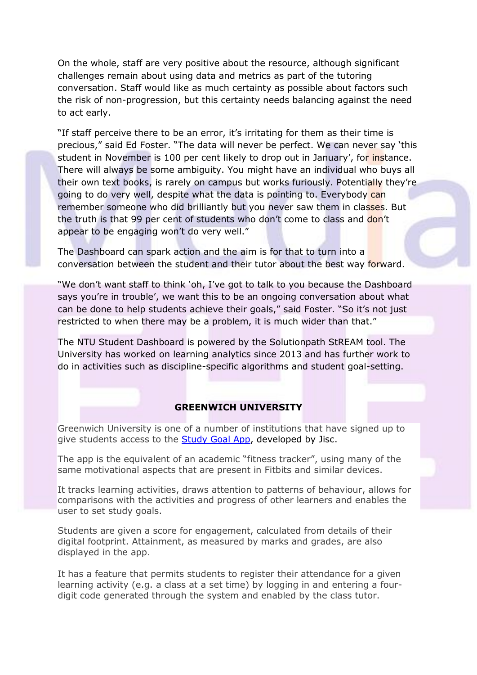On the whole, staff are very positive about the resource, although significant challenges remain about using data and metrics as part of the tutoring conversation. Staff would like as much certainty as possible about factors such the risk of non-progression, but this certainty needs balancing against the need to act early.

"If staff perceive there to be an error, it's irritating for them as their time is precious," said Ed Foster. "The data will never be perfect. We can never say 'this student in November is 100 per cent likely to drop out in January', for instance. There will always be some ambiguity. You might have an individual who buys all their own text books, is rarely on campus but works furiously. Potentially they're going to do very well, despite what the data is pointing to. Everybody can remember someone who did brilliantly but you never saw them in classes. But the truth is that 99 per cent of students who don't come to class and don't appear to be engaging won't do very well."

The Dashboard can spark action and the aim is for that to turn into a conversation between the student and their tutor about the best way forward.

"We don't want staff to think 'oh, I've got to talk to you because the Dashboard says you're in trouble', we want this to be an ongoing conversation about what can be done to help students achieve their goals," said Foster. "So it's not just restricted to when there may be a problem, it is much wider than that."

The NTU Student Dashboard is powered by the Solutionpath StREAM tool. The University has worked on learning analytics since 2013 and has further work to do in activities such as discipline-specific algorithms and student goal-setting.

## **GREENWICH UNIVERSITY**

Greenwich University is one of a number of institutions that have signed up to give students access to the **Study Goal App, developed by Jisc.** 

The app is the equivalent of an academic "fitness tracker", using many of the same motivational aspects that are present in Fitbits and similar devices.

It tracks learning activities, draws attention to patterns of behaviour, allows for comparisons with the activities and progress of other learners and enables the user to set study goals.

Students are given a score for engagement, calculated from details of their digital footprint. Attainment, as measured by marks and grades, are also displayed in the app.

It has a feature that permits students to register their attendance for a given learning activity (e.g. a class at a set time) by logging in and entering a fourdigit code generated through the system and enabled by the class tutor.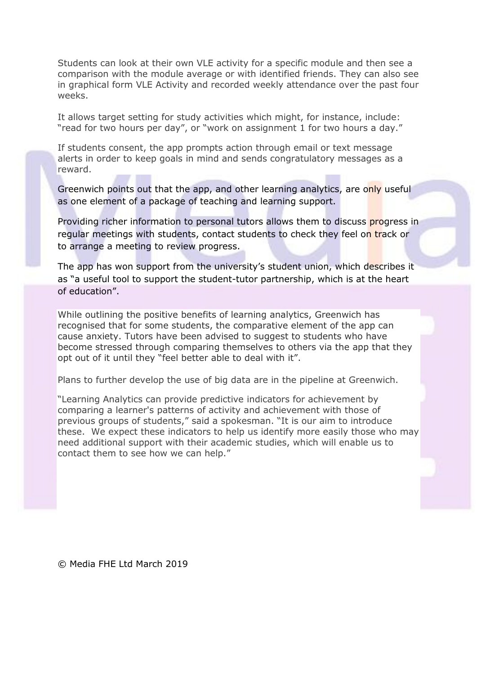Students can look at their own VLE activity for a specific module and then see a comparison with the module average or with identified friends. They can also see in graphical form VLE Activity and recorded weekly attendance over the past four weeks.

It allows target setting for study activities which might, for instance, include: "read for two hours per day", or "work on assignment 1 for two hours a day."

If students consent, the app prompts action through email or text message alerts in order to keep goals in mind and sends congratulatory messages as a reward.

Greenwich points out that the app, and other learning analytics, are only useful as one element of a package of teaching and learning support.

Providing richer information to personal tutors allows them to discuss progress in regular meetings with students, contact students to check they feel on track or to arrange a meeting to review progress.

The app has won support from the university's student union, which describes it as "a useful tool to support the student-tutor partnership, which is at the heart of education".

While outlining the positive benefits of learning analytics, Greenwich has recognised that for some students, the comparative element of the app can cause anxiety. Tutors have been advised to suggest to students who have become stressed through comparing themselves to others via the app that they opt out of it until they "feel better able to deal with it".

Plans to further develop the use of big data are in the pipeline at Greenwich.

"Learning Analytics can provide predictive indicators for achievement by comparing a learner's patterns of activity and achievement with those of previous groups of students," said a spokesman. "It is our aim to introduce these. We expect these indicators to help us identify more easily those who may need additional support with their academic studies, which will enable us to contact them to see how we can help."

© Media FHE Ltd March 2019